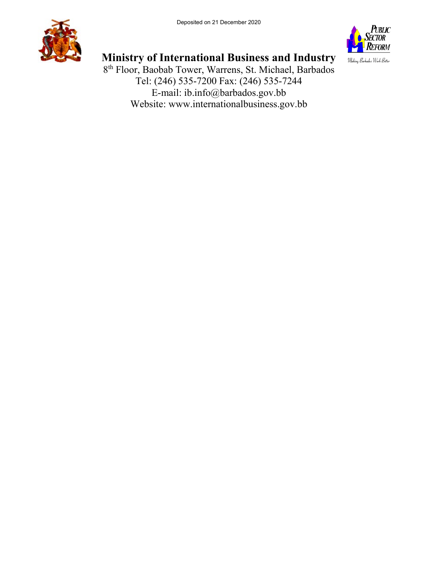



# **Ministry of International Business and Industry**

8th Floor, Baobab Tower, Warrens, St. Michael, Barbados Tel: (246) 535-7200 Fax: (246) 535-7244 E-mail: ib.info@barbados.gov.bb Website: www.internationalbusiness.gov.bb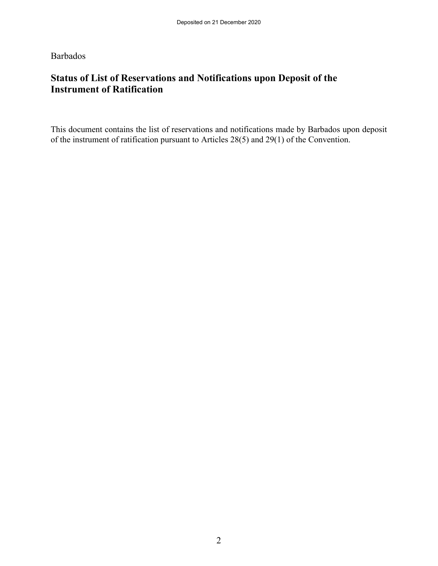Barbados

## **Status of List of Reservations and Notifications upon Deposit of the Instrument of Ratification**

This document contains the list of reservations and notifications made by Barbados upon deposit of the instrument of ratification pursuant to Articles 28(5) and 29(1) of the Convention.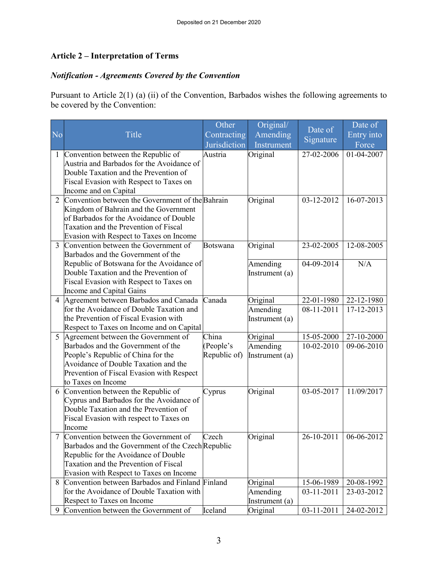## **Article 2 – Interpretation of Terms**

## *Notification - Agreements Covered by the Convention*

Pursuant to Article 2(1) (a) (ii) of the Convention, Barbados wishes the following agreements to be covered by the Convention:

| N <sub>o</sub> | Title                                                                              | Other                       | Original/              | Date of    | Date of             |
|----------------|------------------------------------------------------------------------------------|-----------------------------|------------------------|------------|---------------------|
|                |                                                                                    | Contracting<br>Jurisdiction | Amending<br>Instrument | Signature  | Entry into<br>Force |
|                | 1 Convention between the Republic of                                               | Austria                     | Original               | 27-02-2006 | 01-04-2007          |
|                | Austria and Barbados for the Avoidance of                                          |                             |                        |            |                     |
|                | Double Taxation and the Prevention of                                              |                             |                        |            |                     |
|                | Fiscal Evasion with Respect to Taxes on                                            |                             |                        |            |                     |
|                | Income and on Capital                                                              |                             |                        |            |                     |
|                | 2 Convention between the Government of the Bahrain                                 |                             | Original               | 03-12-2012 | 16-07-2013          |
|                | Kingdom of Bahrain and the Government                                              |                             |                        |            |                     |
|                | of Barbados for the Avoidance of Double<br>Taxation and the Prevention of Fiscal   |                             |                        |            |                     |
|                | Evasion with Respect to Taxes on Income                                            |                             |                        |            |                     |
| 3              | Convention between the Government of                                               | <b>Botswana</b>             | Original               | 23-02-2005 | 12-08-2005          |
|                | Barbados and the Government of the                                                 |                             |                        |            |                     |
|                | Republic of Botswana for the Avoidance of                                          |                             | Amending               | 04-09-2014 | N/A                 |
|                | Double Taxation and the Prevention of                                              |                             | Instrument (a)         |            |                     |
|                | Fiscal Evasion with Respect to Taxes on                                            |                             |                        |            |                     |
|                | Income and Capital Gains                                                           |                             |                        |            |                     |
|                | 4 Agreement between Barbados and Canada                                            | Canada                      | Original               | 22-01-1980 | 22-12-1980          |
|                | for the Avoidance of Double Taxation and                                           |                             | Amending               | 08-11-2011 | 17-12-2013          |
|                | the Prevention of Fiscal Evasion with                                              |                             | Instrument (a)         |            |                     |
|                | Respect to Taxes on Income and on Capital<br>5 Agreement between the Government of | China                       |                        | 15-05-2000 | 27-10-2000          |
|                | Barbados and the Government of the                                                 | (People's                   | Original<br>Amending   | 10-02-2010 | 09-06-2010          |
|                | People's Republic of China for the                                                 | Republic of)                | Instrument (a)         |            |                     |
|                | Avoidance of Double Taxation and the                                               |                             |                        |            |                     |
|                | Prevention of Fiscal Evasion with Respect                                          |                             |                        |            |                     |
|                | to Taxes on Income                                                                 |                             |                        |            |                     |
|                | 6 Convention between the Republic of                                               | Cyprus                      | Original               | 03-05-2017 | 11/09/2017          |
|                | Cyprus and Barbados for the Avoidance of                                           |                             |                        |            |                     |
|                | Double Taxation and the Prevention of                                              |                             |                        |            |                     |
|                | Fiscal Evasion with respect to Taxes on                                            |                             |                        |            |                     |
|                | Income<br>7 Convention between the Government of                                   | Czech                       | Original               | 26-10-2011 | 06-06-2012          |
|                | Barbados and the Government of the Czech Republic                                  |                             |                        |            |                     |
|                | Republic for the Avoidance of Double                                               |                             |                        |            |                     |
|                | Taxation and the Prevention of Fiscal                                              |                             |                        |            |                     |
|                | Evasion with Respect to Taxes on Income                                            |                             |                        |            |                     |
|                | 8 Convention between Barbados and Finland Finland                                  |                             | Original               | 15-06-1989 | 20-08-1992          |
|                | for the Avoidance of Double Taxation with                                          |                             | Amending               | 03-11-2011 | 23-03-2012          |
|                | Respect to Taxes on Income                                                         |                             | Instrument (a)         |            |                     |
| 9              | Convention between the Government of                                               | Iceland                     | Original               | 03-11-2011 | 24-02-2012          |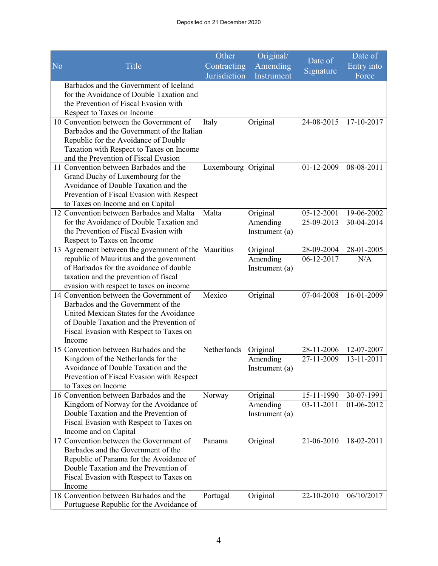|    |                                                                 | Other               | Original/      |            | Date of    |
|----|-----------------------------------------------------------------|---------------------|----------------|------------|------------|
| No | Title                                                           | Contracting         | Amending       | Date of    | Entry into |
|    |                                                                 | Jurisdiction        | Instrument     | Signature  | Force      |
|    | Barbados and the Government of Iceland                          |                     |                |            |            |
|    | for the Avoidance of Double Taxation and                        |                     |                |            |            |
|    | the Prevention of Fiscal Evasion with                           |                     |                |            |            |
|    | Respect to Taxes on Income                                      |                     |                |            |            |
|    | 10 Convention between the Government of                         | Italy               | Original       | 24-08-2015 | 17-10-2017 |
|    | Barbados and the Government of the Italian                      |                     |                |            |            |
|    | Republic for the Avoidance of Double                            |                     |                |            |            |
|    | Taxation with Respect to Taxes on Income                        |                     |                |            |            |
|    | and the Prevention of Fiscal Evasion                            |                     |                |            |            |
|    | 11 Convention between Barbados and the                          | Luxembourg Original |                | 01-12-2009 | 08-08-2011 |
|    | Grand Duchy of Luxembourg for the                               |                     |                |            |            |
|    | Avoidance of Double Taxation and the                            |                     |                |            |            |
|    | Prevention of Fiscal Evasion with Respect                       |                     |                |            |            |
|    | to Taxes on Income and on Capital                               |                     |                |            |            |
|    | 12 Convention between Barbados and Malta                        | Malta               | Original       | 05-12-2001 | 19-06-2002 |
|    | for the Avoidance of Double Taxation and                        |                     | Amending       | 25-09-2013 | 30-04-2014 |
|    | the Prevention of Fiscal Evasion with                           |                     | Instrument (a) |            |            |
|    | Respect to Taxes on Income                                      |                     |                |            |            |
|    | 13 Agreement between the government of the                      | Mauritius           | Original       | 28-09-2004 | 28-01-2005 |
|    | republic of Mauritius and the government                        |                     | Amending       | 06-12-2017 | N/A        |
|    | of Barbados for the avoidance of double                         |                     | Instrument (a) |            |            |
|    | taxation and the prevention of fiscal                           |                     |                |            |            |
|    | evasion with respect to taxes on income                         |                     |                |            |            |
|    | 14 Convention between the Government of                         | Mexico              | Original       | 07-04-2008 | 16-01-2009 |
|    | Barbados and the Government of the                              |                     |                |            |            |
|    | United Mexican States for the Avoidance                         |                     |                |            |            |
|    | of Double Taxation and the Prevention of                        |                     |                |            |            |
|    | Fiscal Evasion with Respect to Taxes on                         |                     |                |            |            |
|    | Income                                                          |                     |                |            |            |
|    | 15 Convention between Barbados and the                          | Netherlands         | Original       | 28-11-2006 | 12-07-2007 |
|    | Kingdom of the Netherlands for the                              |                     | Amending       | 27-11-2009 | 13-11-2011 |
|    | Avoidance of Double Taxation and the                            |                     | Instrument (a) |            |            |
|    | Prevention of Fiscal Evasion with Respect<br>to Taxes on Income |                     |                |            |            |
|    | 16 Convention between Barbados and the                          | Norway              | Original       | 15-11-1990 | 30-07-1991 |
|    | Kingdom of Norway for the Avoidance of                          |                     | Amending       | 03-11-2011 | 01-06-2012 |
|    | Double Taxation and the Prevention of                           |                     | Instrument (a) |            |            |
|    | Fiscal Evasion with Respect to Taxes on                         |                     |                |            |            |
|    | Income and on Capital                                           |                     |                |            |            |
|    | 17 Convention between the Government of                         | Panama              | Original       | 21-06-2010 | 18-02-2011 |
|    | Barbados and the Government of the                              |                     |                |            |            |
|    | Republic of Panama for the Avoidance of                         |                     |                |            |            |
|    | Double Taxation and the Prevention of                           |                     |                |            |            |
|    | Fiscal Evasion with Respect to Taxes on                         |                     |                |            |            |
|    | Income                                                          |                     |                |            |            |
|    | 18 Convention between Barbados and the                          | Portugal            | Original       | 22-10-2010 | 06/10/2017 |
|    | Portuguese Republic for the Avoidance of                        |                     |                |            |            |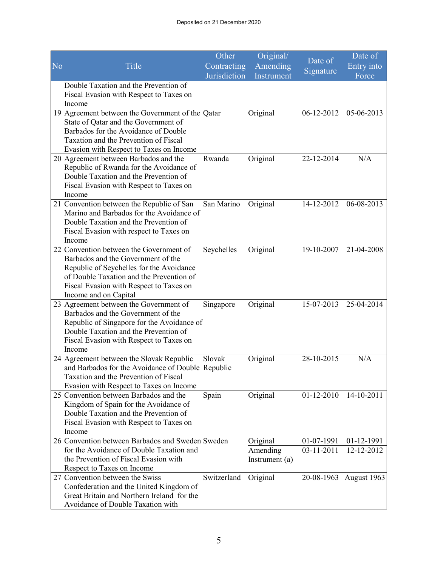|                |                                                                                      | Other        | Original/      | Date of    | Date of     |
|----------------|--------------------------------------------------------------------------------------|--------------|----------------|------------|-------------|
| N <sub>o</sub> | Title                                                                                | Contracting  | Amending       | Signature  | Entry into  |
|                |                                                                                      | Jurisdiction | Instrument     |            | Force       |
|                | Double Taxation and the Prevention of                                                |              |                |            |             |
|                | Fiscal Evasion with Respect to Taxes on                                              |              |                |            |             |
|                | Income                                                                               |              |                |            |             |
|                | 19 Agreement between the Government of the Qatar                                     |              | Original       | 06-12-2012 | 05-06-2013  |
|                | State of Qatar and the Government of                                                 |              |                |            |             |
|                | Barbados for the Avoidance of Double<br>Taxation and the Prevention of Fiscal        |              |                |            |             |
|                | Evasion with Respect to Taxes on Income                                              |              |                |            |             |
|                | 20 Agreement between Barbados and the                                                | Rwanda       | Original       | 22-12-2014 | N/A         |
|                | Republic of Rwanda for the Avoidance of                                              |              |                |            |             |
|                | Double Taxation and the Prevention of                                                |              |                |            |             |
|                | Fiscal Evasion with Respect to Taxes on                                              |              |                |            |             |
|                | Income                                                                               |              |                |            |             |
|                | 21 Convention between the Republic of San                                            | San Marino   | Original       | 14-12-2012 | 06-08-2013  |
|                | Marino and Barbados for the Avoidance of                                             |              |                |            |             |
|                | Double Taxation and the Prevention of                                                |              |                |            |             |
|                | Fiscal Evasion with respect to Taxes on                                              |              |                |            |             |
|                | Income                                                                               |              |                |            |             |
|                | 22 Convention between the Government of                                              | Seychelles   | Original       | 19-10-2007 | 21-04-2008  |
|                | Barbados and the Government of the                                                   |              |                |            |             |
|                | Republic of Seychelles for the Avoidance<br>of Double Taxation and the Prevention of |              |                |            |             |
|                | Fiscal Evasion with Respect to Taxes on                                              |              |                |            |             |
|                | Income and on Capital                                                                |              |                |            |             |
|                | 23 Agreement between the Government of                                               | Singapore    | Original       | 15-07-2013 | 25-04-2014  |
|                | Barbados and the Government of the                                                   |              |                |            |             |
|                | Republic of Singapore for the Avoidance of                                           |              |                |            |             |
|                | Double Taxation and the Prevention of                                                |              |                |            |             |
|                | Fiscal Evasion with Respect to Taxes on                                              |              |                |            |             |
|                | Income                                                                               |              |                |            |             |
|                | 24 Agreement between the Slovak Republic                                             | Slovak       | Original       | 28-10-2015 | N/A         |
|                | and Barbados for the Avoidance of Double Republic                                    |              |                |            |             |
|                | Taxation and the Prevention of Fiscal                                                |              |                |            |             |
|                | Evasion with Respect to Taxes on Income<br>25 Convention between Barbados and the    | Spain        | Original       | 01-12-2010 | 14-10-2011  |
|                | Kingdom of Spain for the Avoidance of                                                |              |                |            |             |
|                | Double Taxation and the Prevention of                                                |              |                |            |             |
|                | Fiscal Evasion with Respect to Taxes on                                              |              |                |            |             |
|                | Income                                                                               |              |                |            |             |
|                | 26 Convention between Barbados and Sweden Sweden                                     |              | Original       | 01-07-1991 | 01-12-1991  |
|                | for the Avoidance of Double Taxation and                                             |              | Amending       | 03-11-2011 | 12-12-2012  |
|                | the Prevention of Fiscal Evasion with                                                |              | Instrument (a) |            |             |
|                | Respect to Taxes on Income                                                           |              |                |            |             |
|                | 27 Convention between the Swiss                                                      | Switzerland  | Original       | 20-08-1963 | August 1963 |
|                | Confederation and the United Kingdom of                                              |              |                |            |             |
|                | Great Britain and Northern Ireland for the                                           |              |                |            |             |
|                | Avoidance of Double Taxation with                                                    |              |                |            |             |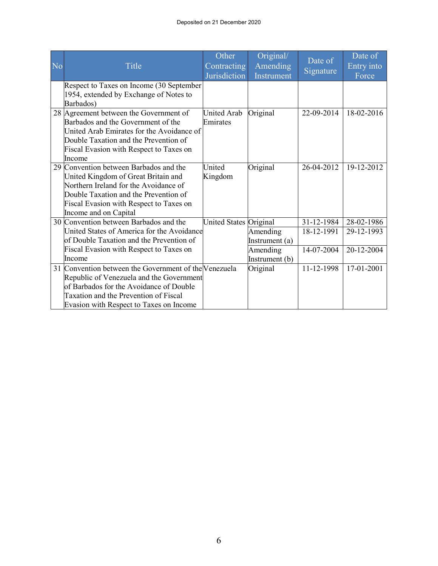| N <sub>o</sub> | Title                                                                                                                                                                                                                               | Other<br>Contracting<br>Jurisdiction | Original/<br>Amending<br>Instrument                      | Date of<br>Signature                   | Date of<br>Entry into<br>Force         |
|----------------|-------------------------------------------------------------------------------------------------------------------------------------------------------------------------------------------------------------------------------------|--------------------------------------|----------------------------------------------------------|----------------------------------------|----------------------------------------|
|                | Respect to Taxes on Income (30 September<br>1954, extended by Exchange of Notes to<br>Barbados)                                                                                                                                     |                                      |                                                          |                                        |                                        |
|                | 28 Agreement between the Government of<br>Barbados and the Government of the<br>United Arab Emirates for the Avoidance of<br>Double Taxation and the Prevention of<br>Fiscal Evasion with Respect to Taxes on<br>Income             | United Arab<br>Emirates              | Original                                                 | 22-09-2014                             | 18-02-2016                             |
|                | 29 Convention between Barbados and the<br>United Kingdom of Great Britain and<br>Northern Ireland for the Avoidance of<br>Double Taxation and the Prevention of<br>Fiscal Evasion with Respect to Taxes on<br>Income and on Capital | United<br>Kingdom                    | Original                                                 | 26-04-2012                             | 19-12-2012                             |
|                | 30 Convention between Barbados and the<br>United States of America for the Avoidance<br>of Double Taxation and the Prevention of<br>Fiscal Evasion with Respect to Taxes on<br>Income                                               | United States Original               | Amending<br>Instrument (a)<br>Amending<br>Instrument (b) | 31-12-1984<br>18-12-1991<br>14-07-2004 | 28-02-1986<br>29-12-1993<br>20-12-2004 |
|                | 31 Convention between the Government of the Venezuela<br>Republic of Venezuela and the Government<br>of Barbados for the Avoidance of Double<br>Taxation and the Prevention of Fiscal<br>Evasion with Respect to Taxes on Income    |                                      | Original                                                 | 11-12-1998                             | 17-01-2001                             |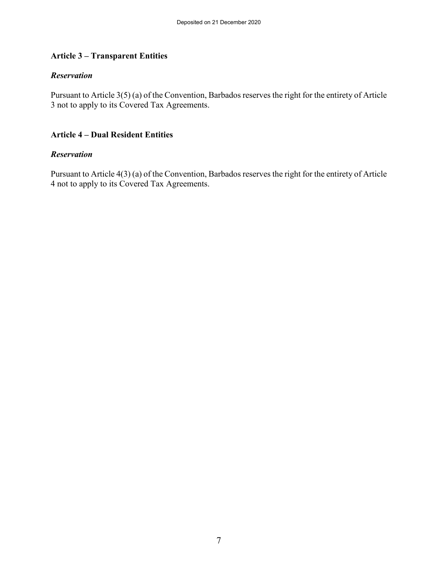## **Article 3 – Transparent Entities**

#### *Reservation*

Pursuant to Article 3(5) (a) of the Convention, Barbados reserves the right for the entirety of Article 3 not to apply to its Covered Tax Agreements.

#### **Article 4 – Dual Resident Entities**

#### *Reservation*

Pursuant to Article 4(3) (a) of the Convention, Barbados reserves the right for the entirety of Article 4 not to apply to its Covered Tax Agreements.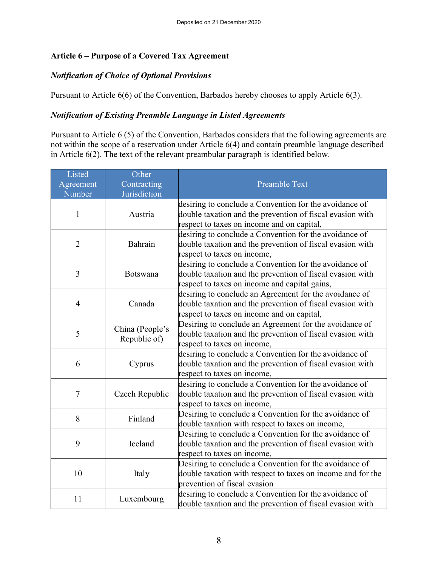## **Article 6 – Purpose of a Covered Tax Agreement**

## *Notification of Choice of Optional Provisions*

Pursuant to Article 6(6) of the Convention, Barbados hereby chooses to apply Article 6(3).

## *Notification of Existing Preamble Language in Listed Agreements*

Pursuant to Article 6 (5) of the Convention, Barbados considers that the following agreements are not within the scope of a reservation under Article 6(4) and contain preamble language described in Article 6(2). The text of the relevant preambular paragraph is identified below.

| Listed<br>Agreement | Other<br>Contracting            | <b>Preamble Text</b>                                                                                                                                                 |  |
|---------------------|---------------------------------|----------------------------------------------------------------------------------------------------------------------------------------------------------------------|--|
| Number              | Jurisdiction                    |                                                                                                                                                                      |  |
| $\mathbf{1}$        | Austria                         | desiring to conclude a Convention for the avoidance of<br>double taxation and the prevention of fiscal evasion with<br>respect to taxes on income and on capital,    |  |
| $\overline{2}$      | Bahrain                         | desiring to conclude a Convention for the avoidance of<br>double taxation and the prevention of fiscal evasion with<br>respect to taxes on income,                   |  |
| 3                   | <b>Botswana</b>                 | desiring to conclude a Convention for the avoidance of<br>double taxation and the prevention of fiscal evasion with<br>respect to taxes on income and capital gains, |  |
| $\overline{4}$      | Canada                          | desiring to conclude an Agreement for the avoidance of<br>double taxation and the prevention of fiscal evasion with<br>respect to taxes on income and on capital,    |  |
| 5                   | China (People's<br>Republic of) | Desiring to conclude an Agreement for the avoidance of<br>double taxation and the prevention of fiscal evasion with<br>respect to taxes on income,                   |  |
| 6                   | Cyprus                          | desiring to conclude a Convention for the avoidance of<br>double taxation and the prevention of fiscal evasion with<br>respect to taxes on income,                   |  |
| $\overline{7}$      | Czech Republic                  | desiring to conclude a Convention for the avoidance of<br>double taxation and the prevention of fiscal evasion with<br>respect to taxes on income,                   |  |
| 8                   | Finland                         | Desiring to conclude a Convention for the avoidance of<br>double taxation with respect to taxes on income,                                                           |  |
| 9                   | Iceland                         | Desiring to conclude a Convention for the avoidance of<br>double taxation and the prevention of fiscal evasion with<br>respect to taxes on income,                   |  |
| 10<br>Italy         |                                 | Desiring to conclude a Convention for the avoidance of<br>double taxation with respect to taxes on income and for the<br>prevention of fiscal evasion                |  |
| 11                  | Luxembourg                      | desiring to conclude a Convention for the avoidance of<br>double taxation and the prevention of fiscal evasion with                                                  |  |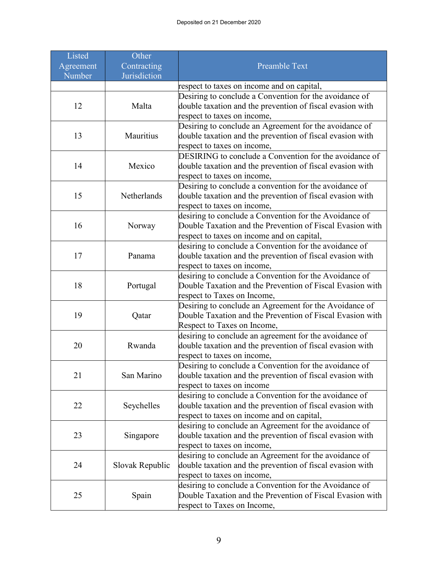| Listed              | Other                       |                                                                                                                     |  |
|---------------------|-----------------------------|---------------------------------------------------------------------------------------------------------------------|--|
| Agreement<br>Number | Contracting<br>Jurisdiction | <b>Preamble Text</b>                                                                                                |  |
|                     |                             | respect to taxes on income and on capital,                                                                          |  |
|                     |                             | Desiring to conclude a Convention for the avoidance of                                                              |  |
| 12                  | Malta                       | double taxation and the prevention of fiscal evasion with                                                           |  |
|                     |                             | respect to taxes on income,                                                                                         |  |
|                     |                             | Desiring to conclude an Agreement for the avoidance of                                                              |  |
| 13                  | Mauritius                   | double taxation and the prevention of fiscal evasion with                                                           |  |
|                     |                             | respect to taxes on income,                                                                                         |  |
|                     |                             | DESIRING to conclude a Convention for the avoidance of                                                              |  |
| 14                  | Mexico                      | double taxation and the prevention of fiscal evasion with                                                           |  |
|                     |                             | respect to taxes on income,                                                                                         |  |
|                     |                             | Desiring to conclude a convention for the avoidance of                                                              |  |
| 15                  | Netherlands                 | double taxation and the prevention of fiscal evasion with                                                           |  |
|                     |                             | respect to taxes on income,                                                                                         |  |
|                     |                             | desiring to conclude a Convention for the Avoidance of                                                              |  |
| 16                  | Norway                      | Double Taxation and the Prevention of Fiscal Evasion with                                                           |  |
|                     |                             | respect to taxes on income and on capital,                                                                          |  |
|                     |                             | desiring to conclude a Convention for the avoidance of                                                              |  |
| 17                  | Panama                      | double taxation and the prevention of fiscal evasion with                                                           |  |
|                     |                             | respect to taxes on income,                                                                                         |  |
|                     |                             | desiring to conclude a Convention for the Avoidance of                                                              |  |
| 18                  | Portugal                    | Double Taxation and the Prevention of Fiscal Evasion with                                                           |  |
|                     |                             | respect to Taxes on Income,                                                                                         |  |
|                     |                             | Desiring to conclude an Agreement for the Avoidance of                                                              |  |
| 19                  | Qatar                       | Double Taxation and the Prevention of Fiscal Evasion with                                                           |  |
|                     |                             | Respect to Taxes on Income,                                                                                         |  |
| 20                  | Rwanda                      | desiring to conclude an agreement for the avoidance of<br>double taxation and the prevention of fiscal evasion with |  |
|                     |                             | respect to taxes on income,                                                                                         |  |
|                     |                             | Desiring to conclude a Convention for the avoidance of                                                              |  |
| 21                  | San Marino                  | double taxation and the prevention of fiscal evasion with                                                           |  |
|                     |                             | respect to taxes on income                                                                                          |  |
|                     |                             | desiring to conclude a Convention for the avoidance of                                                              |  |
| 22                  | Seychelles                  | double taxation and the prevention of fiscal evasion with                                                           |  |
|                     |                             | respect to taxes on income and on capital,                                                                          |  |
|                     |                             | desiring to conclude an Agreement for the avoidance of                                                              |  |
| 23                  | Singapore                   | double taxation and the prevention of fiscal evasion with                                                           |  |
|                     |                             | respect to taxes on income,                                                                                         |  |
|                     |                             | desiring to conclude an Agreement for the avoidance of                                                              |  |
| 24                  | Slovak Republic             | double taxation and the prevention of fiscal evasion with                                                           |  |
|                     |                             | respect to taxes on income,                                                                                         |  |
|                     |                             | desiring to conclude a Convention for the Avoidance of                                                              |  |
| 25                  | Spain                       | Double Taxation and the Prevention of Fiscal Evasion with                                                           |  |
|                     |                             | respect to Taxes on Income,                                                                                         |  |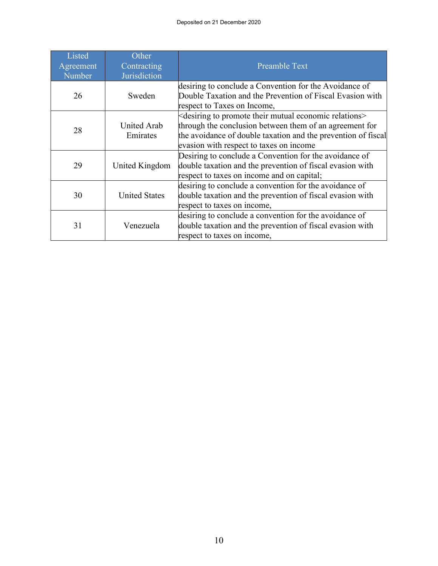| Listed<br>Agreement<br>Number | Other<br>Contracting<br>Jurisdiction | <b>Preamble Text</b>                                                                                                                                                                                                                         |
|-------------------------------|--------------------------------------|----------------------------------------------------------------------------------------------------------------------------------------------------------------------------------------------------------------------------------------------|
| 26                            | Sweden                               | desiring to conclude a Convention for the Avoidance of<br>Double Taxation and the Prevention of Fiscal Evasion with<br>respect to Taxes on Income,                                                                                           |
| United Arab<br>28<br>Emirates |                                      | $\measuredangle$ desiring to promote their mutual economic relations><br>through the conclusion between them of an agreement for<br>the avoidance of double taxation and the prevention of fiscal<br>evasion with respect to taxes on income |
| United Kingdom<br>29          |                                      | Desiring to conclude a Convention for the avoidance of<br>double taxation and the prevention of fiscal evasion with<br>respect to taxes on income and on capital;                                                                            |
| 30                            | <b>United States</b>                 | desiring to conclude a convention for the avoidance of<br>double taxation and the prevention of fiscal evasion with<br>respect to taxes on income,                                                                                           |
| 31                            | Venezuela                            | desiring to conclude a convention for the avoidance of<br>double taxation and the prevention of fiscal evasion with<br>respect to taxes on income,                                                                                           |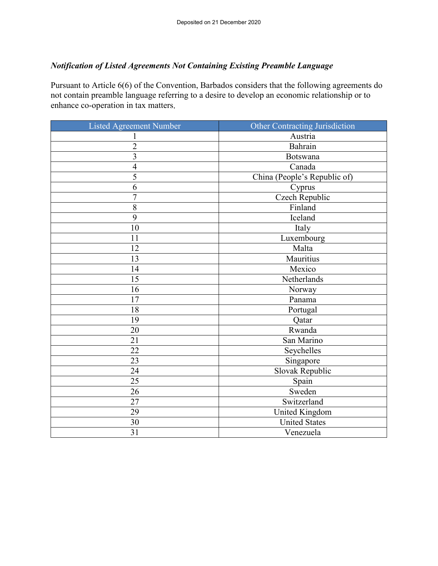## *Notification of Listed Agreements Not Containing Existing Preamble Language*

Pursuant to Article 6(6) of the Convention, Barbados considers that the following agreements do not contain preamble language referring to a desire to develop an economic relationship or to enhance co-operation in tax matters.

| <b>Listed Agreement Number</b> | <b>Other Contracting Jurisdiction</b> |  |
|--------------------------------|---------------------------------------|--|
|                                | Austria                               |  |
| $\overline{2}$                 | Bahrain                               |  |
| 3                              | Botswana                              |  |
| $\overline{4}$                 | Canada                                |  |
| 5                              | China (People's Republic of)          |  |
| 6                              | Cyprus                                |  |
| $\overline{7}$                 | <b>Czech Republic</b>                 |  |
| 8                              | Finland                               |  |
| 9                              | Iceland                               |  |
| 10                             | Italy                                 |  |
| 11                             | Luxembourg                            |  |
| 12                             | Malta                                 |  |
| 13                             | Mauritius                             |  |
| 14                             | Mexico                                |  |
| 15                             | Netherlands                           |  |
| 16                             | Norway                                |  |
| 17                             | Panama                                |  |
| 18                             | Portugal                              |  |
| 19                             | Qatar                                 |  |
| 20                             | Rwanda                                |  |
| 21                             | San Marino                            |  |
| 22                             | Seychelles                            |  |
| 23                             | Singapore                             |  |
| 24                             | Slovak Republic                       |  |
| 25                             | Spain                                 |  |
| 26                             | Sweden                                |  |
| 27                             | Switzerland                           |  |
| 29                             | <b>United Kingdom</b>                 |  |
| 30                             | <b>United States</b>                  |  |
| 31<br>Venezuela                |                                       |  |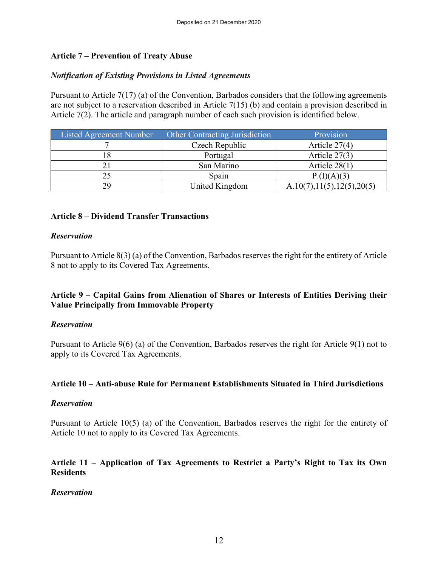## **Article 7 – Prevention of Treaty Abuse**

#### *Notification of Existing Provisions in Listed Agreements*

Pursuant to Article 7(17) (a) of the Convention, Barbados considers that the following agreements are not subject to a reservation described in Article 7(15) (b) and contain a provision described in Article 7(2). The article and paragraph number of each such provision is identified below.

| Listed Agreement Number | <b>Other Contracting Jurisdiction</b> | Provision                    |
|-------------------------|---------------------------------------|------------------------------|
|                         | Czech Republic                        | Article $27(4)$              |
|                         | Portugal                              | Article $27(3)$              |
|                         | San Marino                            | Article $28(1)$              |
|                         | Spain                                 | P.(I)(A)(3)                  |
| 29                      | United Kingdom                        | A.10(7), 11(5), 12(5), 20(5) |

#### **Article 8 – Dividend Transfer Transactions**

#### *Reservation*

Pursuant to Article 8(3) (a) of the Convention, Barbados reserves the right for the entirety of Article 8 not to apply to its Covered Tax Agreements.

#### **Article 9 – Capital Gains from Alienation of Shares or Interests of Entities Deriving their Value Principally from Immovable Property**

#### *Reservation*

Pursuant to Article 9(6) (a) of the Convention, Barbados reserves the right for Article 9(1) not to apply to its Covered Tax Agreements.

#### **Article 10 – Anti-abuse Rule for Permanent Establishments Situated in Third Jurisdictions**

#### *Reservation*

Pursuant to Article 10(5) (a) of the Convention, Barbados reserves the right for the entirety of Article 10 not to apply to its Covered Tax Agreements.

#### **Article 11 – Application of Tax Agreements to Restrict a Party's Right to Tax its Own Residents**

#### *Reservation*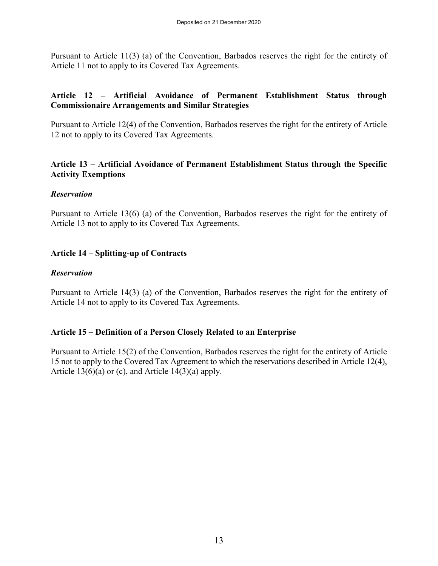Pursuant to Article 11(3) (a) of the Convention, Barbados reserves the right for the entirety of Article 11 not to apply to its Covered Tax Agreements.

#### **Article 12 – Artificial Avoidance of Permanent Establishment Status through Commissionaire Arrangements and Similar Strategies**

Pursuant to Article 12(4) of the Convention, Barbados reserves the right for the entirety of Article 12 not to apply to its Covered Tax Agreements.

#### **Article 13 – Artificial Avoidance of Permanent Establishment Status through the Specific Activity Exemptions**

#### *Reservation*

Pursuant to Article 13(6) (a) of the Convention, Barbados reserves the right for the entirety of Article 13 not to apply to its Covered Tax Agreements.

#### **Article 14 – Splitting-up of Contracts**

#### *Reservation*

Pursuant to Article 14(3) (a) of the Convention, Barbados reserves the right for the entirety of Article 14 not to apply to its Covered Tax Agreements.

#### **Article 15 – Definition of a Person Closely Related to an Enterprise**

Pursuant to Article 15(2) of the Convention, Barbados reserves the right for the entirety of Article 15 not to apply to the Covered Tax Agreement to which the reservations described in Article 12(4), Article  $13(6)(a)$  or (c), and Article  $14(3)(a)$  apply.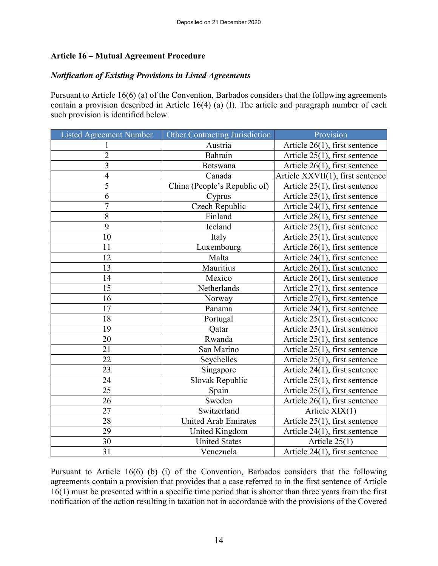## **Article 16 – Mutual Agreement Procedure**

#### *Notification of Existing Provisions in Listed Agreements*

Pursuant to Article 16(6) (a) of the Convention, Barbados considers that the following agreements contain a provision described in Article 16(4) (a) (I). The article and paragraph number of each such provision is identified below.

| <b>Listed Agreement Number</b> | <b>Other Contracting Jurisdiction</b> | Provision                        |
|--------------------------------|---------------------------------------|----------------------------------|
|                                | Austria                               | Article $26(1)$ , first sentence |
| $\overline{2}$                 | Bahrain                               | Article 25(1), first sentence    |
| $\overline{3}$                 | <b>Botswana</b>                       | Article $26(1)$ , first sentence |
| $\overline{4}$                 | Canada                                | Article XXVII(1), first sentence |
| 5                              | China (People's Republic of)          | Article 25(1), first sentence    |
| 6                              | Cyprus                                | Article $25(1)$ , first sentence |
| $\overline{7}$                 | Czech Republic                        | Article 24(1), first sentence    |
| 8                              | Finland                               | Article 28(1), first sentence    |
| $\overline{9}$                 | Iceland                               | Article $25(1)$ , first sentence |
| 10                             | Italy                                 | Article $25(1)$ , first sentence |
| 11                             | Luxembourg                            | Article 26(1), first sentence    |
| 12                             | Malta                                 | Article $24(1)$ , first sentence |
| 13                             | Mauritius                             | Article 26(1), first sentence    |
| 14                             | Mexico                                | Article 26(1), first sentence    |
| 15                             | Netherlands                           | Article $27(1)$ , first sentence |
| 16                             | Norway                                | Article $27(1)$ , first sentence |
| 17                             | Panama                                | Article 24(1), first sentence    |
| 18                             | Portugal                              | Article $25(1)$ , first sentence |
| 19                             | Qatar                                 | Article $25(1)$ , first sentence |
| 20                             | Rwanda                                | Article 25(1), first sentence    |
| 21                             | San Marino                            | Article 25(1), first sentence    |
| 22                             | Seychelles                            | Article $25(1)$ , first sentence |
| 23                             | Singapore                             | Article 24(1), first sentence    |
| 24                             | Slovak Republic                       | Article $25(1)$ , first sentence |
| 25                             | Spain                                 | Article $25(1)$ , first sentence |
| 26                             | Sweden                                | Article 26(1), first sentence    |
| 27                             | Switzerland                           | Article $XIX(1)$                 |
| 28                             | <b>United Arab Emirates</b>           | Article 25(1), first sentence    |
| 29                             | United Kingdom                        | Article 24(1), first sentence    |
| 30                             | <b>United States</b>                  | Article $25(1)$                  |
| 31                             | Venezuela                             | Article 24(1), first sentence    |

Pursuant to Article 16(6) (b) (i) of the Convention, Barbados considers that the following agreements contain a provision that provides that a case referred to in the first sentence of Article 16(1) must be presented within a specific time period that is shorter than three years from the first notification of the action resulting in taxation not in accordance with the provisions of the Covered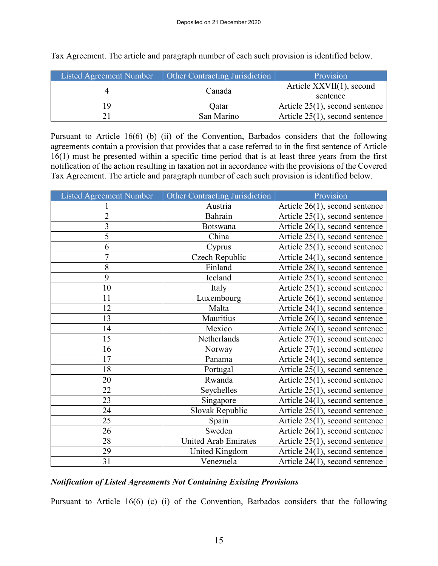| <b>Listed Agreement Number</b> | Other Contracting Jurisdiction | Provision                         |
|--------------------------------|--------------------------------|-----------------------------------|
|                                | Canada                         | Article $XXVII(1)$ , second       |
|                                |                                | sentence                          |
| ١y                             | Oatar                          | Article $25(1)$ , second sentence |
|                                | San Marino                     | Article $25(1)$ , second sentence |

Tax Agreement. The article and paragraph number of each such provision is identified below.

Pursuant to Article 16(6) (b) (ii) of the Convention, Barbados considers that the following agreements contain a provision that provides that a case referred to in the first sentence of Article 16(1) must be presented within a specific time period that is at least three years from the first notification of the action resulting in taxation not in accordance with the provisions of the Covered Tax Agreement. The article and paragraph number of each such provision is identified below.

| <b>Listed Agreement Number</b> | Other Contracting Jurisdiction | Provision                         |
|--------------------------------|--------------------------------|-----------------------------------|
|                                | Austria                        | Article $26(1)$ , second sentence |
| $\overline{2}$                 | Bahrain                        | Article 25(1), second sentence    |
| 3                              | Botswana                       | Article 26(1), second sentence    |
| 5                              | China                          | Article 25(1), second sentence    |
| 6                              | Cyprus                         | Article $25(1)$ , second sentence |
| 7                              | Czech Republic                 | Article 24(1), second sentence    |
| 8                              | Finland                        | Article 28(1), second sentence    |
| 9                              | Iceland                        | Article $25(1)$ , second sentence |
| 10                             | Italy                          | Article $25(1)$ , second sentence |
| 11                             | Luxembourg                     | Article $26(1)$ , second sentence |
| 12                             | Malta                          | Article 24(1), second sentence    |
| 13                             | Mauritius                      | Article 26(1), second sentence    |
| 14                             | Mexico                         | Article $26(1)$ , second sentence |
| 15                             | Netherlands                    | Article 27(1), second sentence    |
| 16                             | Norway                         | Article 27(1), second sentence    |
| 17                             | Panama                         | Article 24(1), second sentence    |
| 18                             | Portugal                       | Article $25(1)$ , second sentence |
| 20                             | Rwanda                         | Article $25(1)$ , second sentence |
| 22                             | Seychelles                     | Article 25(1), second sentence    |
| 23                             | Singapore                      | Article 24(1), second sentence    |
| 24                             | Slovak Republic                | Article $25(1)$ , second sentence |
| 25                             | Spain                          | Article $25(1)$ , second sentence |
| 26                             | Sweden                         | Article 26(1), second sentence    |
| 28                             | <b>United Arab Emirates</b>    | Article $25(1)$ , second sentence |
| 29                             | United Kingdom                 | Article 24(1), second sentence    |
| 31                             | Venezuela                      | Article 24(1), second sentence    |

## *Notification of Listed Agreements Not Containing Existing Provisions*

Pursuant to Article 16(6) (c) (i) of the Convention, Barbados considers that the following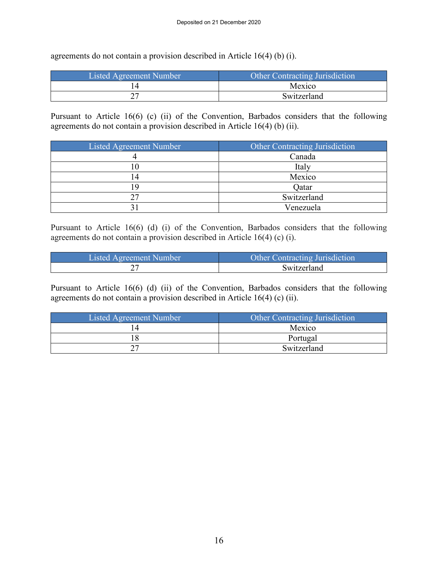agreements do not contain a provision described in Article 16(4) (b) (i).

| Listed Agreement Number | <b>Other Contracting Jurisdiction</b> |
|-------------------------|---------------------------------------|
|                         | Mexico                                |
| ∩−<br>∠                 | Switzerland                           |

Pursuant to Article 16(6) (c) (ii) of the Convention, Barbados considers that the following agreements do not contain a provision described in Article 16(4) (b) (ii).

| <b>Listed Agreement Number</b> | Other Contracting Jurisdiction |
|--------------------------------|--------------------------------|
|                                | Canada                         |
|                                | Italy                          |
|                                | Mexico                         |
|                                | Qatar                          |
|                                | Switzerland                    |
|                                | Venezuela                      |

Pursuant to Article 16(6) (d) (i) of the Convention, Barbados considers that the following agreements do not contain a provision described in Article 16(4) (c) (i).

| Listed Agreement Number | <b>Other Contracting Jurisdiction</b> |
|-------------------------|---------------------------------------|
|                         | Switzerland                           |

Pursuant to Article 16(6) (d) (ii) of the Convention, Barbados considers that the following agreements do not contain a provision described in Article 16(4) (c) (ii).

| Listed Agreement Number | Other Contracting Jurisdiction |
|-------------------------|--------------------------------|
|                         | Mexico                         |
|                         | Portugal                       |
|                         | Switzerland                    |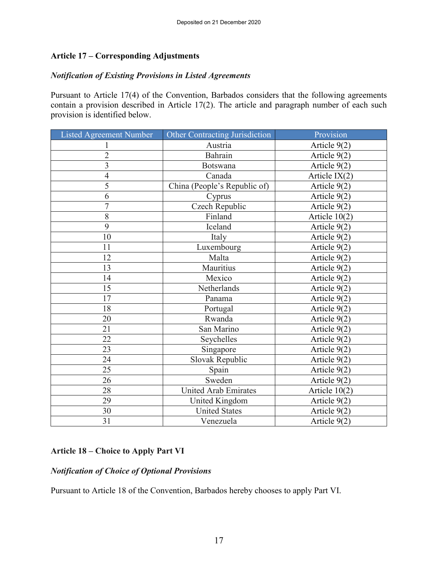#### **Article 17 – Corresponding Adjustments**

## *Notification of Existing Provisions in Listed Agreements*

Pursuant to Article 17(4) of the Convention, Barbados considers that the following agreements contain a provision described in Article 17(2). The article and paragraph number of each such provision is identified below.

| <b>Listed Agreement Number</b> | Other Contracting Jurisdiction | Provision       |
|--------------------------------|--------------------------------|-----------------|
| 1                              | Austria                        | Article 9(2)    |
| $\overline{2}$                 | Bahrain                        | Article 9(2)    |
| $\overline{3}$                 | Botswana                       | Article 9(2)    |
| $\overline{4}$                 | Canada                         | Article IX(2)   |
| 5                              | China (People's Republic of)   | Article 9(2)    |
| 6                              | Cyprus                         | Article 9(2)    |
| $\overline{7}$                 | Czech Republic                 | Article 9(2)    |
| 8                              | Finland                        | Article $10(2)$ |
| 9                              | Iceland                        | Article 9(2)    |
| 10                             | Italy                          | Article 9(2)    |
| 11                             | Luxembourg                     | Article 9(2)    |
| 12                             | Malta                          | Article 9(2)    |
| 13                             | Mauritius                      | Article 9(2)    |
| 14                             | Mexico                         | Article 9(2)    |
| 15                             | Netherlands                    | Article 9(2)    |
| 17                             | Panama                         | Article 9(2)    |
| 18                             | Portugal                       | Article 9(2)    |
| 20                             | Rwanda                         | Article 9(2)    |
| 21                             | San Marino                     | Article 9(2)    |
| 22                             | Seychelles                     | Article 9(2)    |
| 23                             | Singapore                      | Article 9(2)    |
| 24                             | Slovak Republic                | Article 9(2)    |
| 25                             | Spain                          | Article 9(2)    |
| 26                             | Sweden                         | Article 9(2)    |
| 28                             | <b>United Arab Emirates</b>    | Article $10(2)$ |
| 29                             | United Kingdom                 | Article 9(2)    |
| 30                             | <b>United States</b>           | Article 9(2)    |
| 31                             | Venezuela                      | Article 9(2)    |

#### **Article 18 – Choice to Apply Part VI**

#### *Notification of Choice of Optional Provisions*

Pursuant to Article 18 of the Convention, Barbados hereby chooses to apply Part VI.